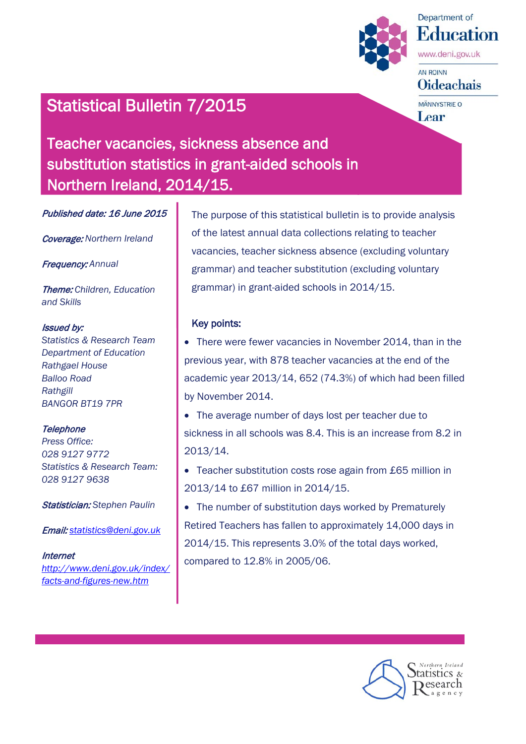

Department of **Education** 

www.deni.gov.uk

AN ROINN **Oideachais** 

**MÄNNYSTRIE O** Lear

# Statistical Bulletin 7/2015

Teacher vacancies, sickness absence and substitution statistics in grant-aided schools in Northern Ireland, 2014/15.

Published date: 16 June 2015

Coverage: *Northern Ireland*

Frequency: *Annual*

Theme: *Children, Education and Skills*

#### Issued by:

*Statistics & Research Team Department of Education Rathgael House Balloo Road Rathgill BANGOR BT19 7PR*

#### **Telephone**

*Press Office: 028 9127 9772 Statistics & Research Team: 028 9127 9638*

Statistician: *Stephen Paulin*

Email: *[statistics@deni.gov.uk](mailto:statistics@deni.gov.uk)*

#### **Internet**

*[http://www.deni.gov.uk/index/](http://www.deni.gov.uk/index/facts-and-figures-new.htm) [facts-and-figures-new.htm](http://www.deni.gov.uk/index/facts-and-figures-new.htm)*

The purpose of this statistical bulletin is to provide analysis of the latest annual data collections relating to teacher vacancies, teacher sickness absence (excluding voluntary grammar) and teacher substitution (excluding voluntary grammar) in grant-aided schools in 2014/15.

#### Key points:

- There were fewer vacancies in November 2014, than in the previous year, with 878 teacher vacancies at the end of the academic year 2013/14, 652 (74.3%) of which had been filled by November 2014.
- The average number of days lost per teacher due to sickness in all schools was 8.4. This is an increase from 8.2 in 2013/14.
- Teacher substitution costs rose again from £65 million in 2013/14 to £67 million in 2014/15.
- The number of substitution days worked by Prematurely Retired Teachers has fallen to approximately 14,000 days in 2014/15. This represents 3.0% of the total days worked, compared to 12.8% in 2005/06.

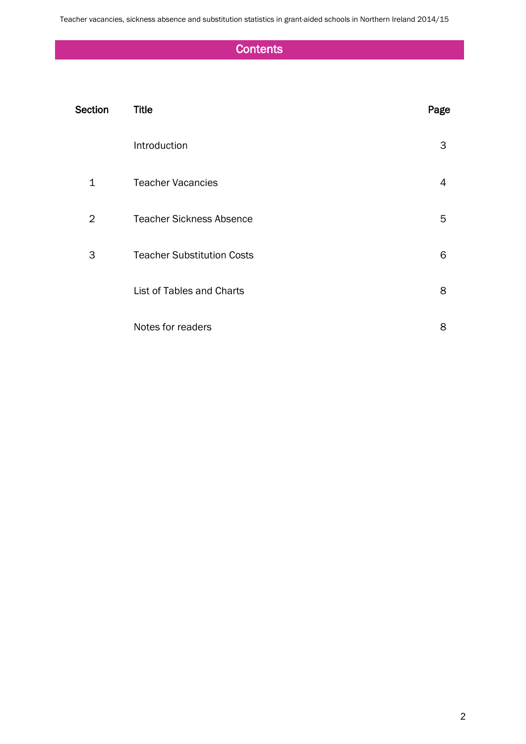Teacher vacancies, sickness absence and substitution statistics in grant-aided schools in Northern Ireland 2014/15

## **Contents**

| Section      | <b>Title</b>                      | Page |
|--------------|-----------------------------------|------|
|              | Introduction                      | 3    |
| $\mathbf{1}$ | <b>Teacher Vacancies</b>          | 4    |
| 2            | <b>Teacher Sickness Absence</b>   | 5    |
| 3            | <b>Teacher Substitution Costs</b> | 6    |
|              | List of Tables and Charts         | 8    |
|              | Notes for readers                 | 8    |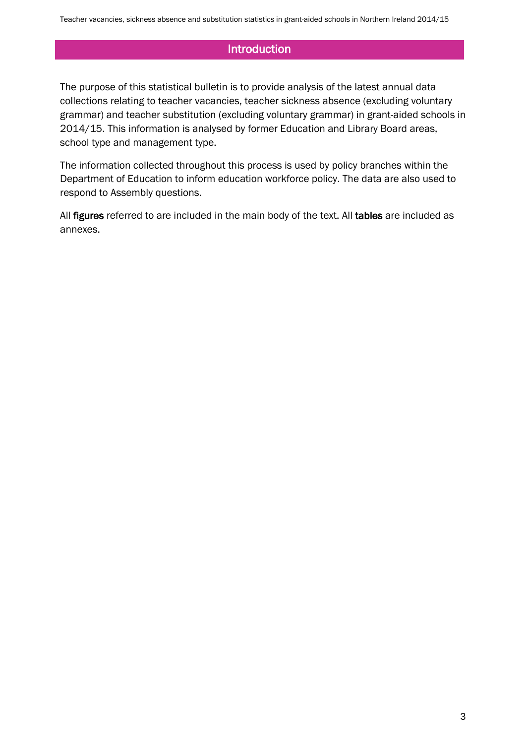### Introduction

The purpose of this statistical bulletin is to provide analysis of the latest annual data collections relating to teacher vacancies, teacher sickness absence (excluding voluntary grammar) and teacher substitution (excluding voluntary grammar) in grant-aided schools in 2014/15. This information is analysed by former Education and Library Board areas, school type and management type.

The information collected throughout this process is used by policy branches within the Department of Education to inform education workforce policy. The data are also used to respond to Assembly questions.

All figures referred to are included in the main body of the text. All tables are included as annexes.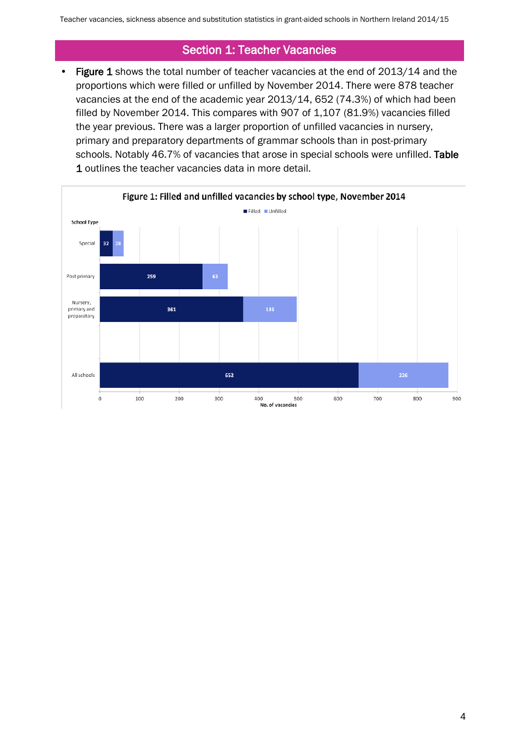### Section 1: Teacher Vacancies

• Figure 1 shows the total number of teacher vacancies at the end of 2013/14 and the proportions which were filled or unfilled by November 2014. There were 878 teacher vacancies at the end of the academic year 2013/14, 652 (74.3%) of which had been filled by November 2014. This compares with 907 of 1,107 (81.9%) vacancies filled the year previous. There was a larger proportion of unfilled vacancies in nursery, primary and preparatory departments of grammar schools than in post-primary schools. Notably 46.7% of vacancies that arose in special schools were unfilled. Table 1 outlines the teacher vacancies data in more detail.

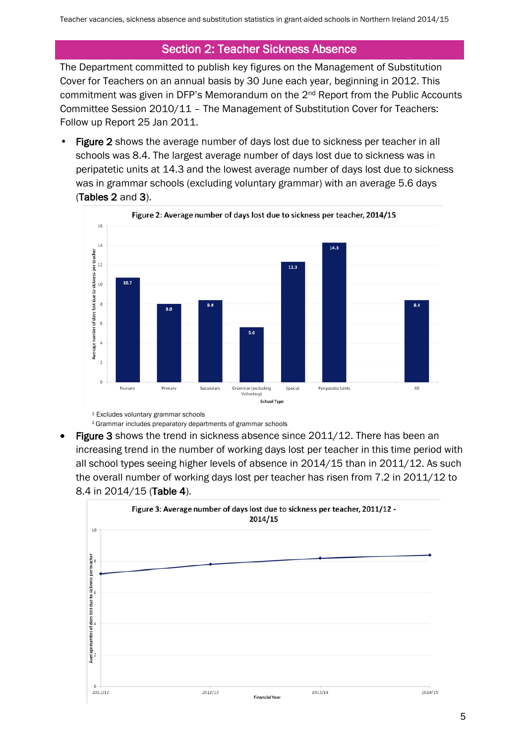### Section 2: Teacher Sickness Absence

The Department committed to publish key figures on the Management of Substitution Cover for Teachers on an annual basis by 30 June each year, beginning in 2012. This commitment was given in DFP's Memorandum on the 2nd Report from the Public Accounts Committee Session 2010/11 – The Management of Substitution Cover for Teachers: Follow up Report 25 Jan 2011.

Figure 2 shows the average number of days lost due to sickness per teacher in all schools was 8.4. The largest average number of days lost due to sickness was in peripatetic units at 14.3 and the lowest average number of days lost due to sickness was in grammar schools (excluding voluntary grammar) with an average 5.6 days (Tables 2 and 3).



<sup>1</sup> Excludes voluntary grammar schools

<sup>2</sup> Grammar includes preparatory departments of grammar schools

Figure 3 shows the trend in sickness absence since 2011/12. There has been an increasing trend in the number of working days lost per teacher in this time period with all school types seeing higher levels of absence in 2014/15 than in 2011/12. As such the overall number of working days lost per teacher has risen from 7.2 in 2011/12 to 8.4 in 2014/15 (Table 4).

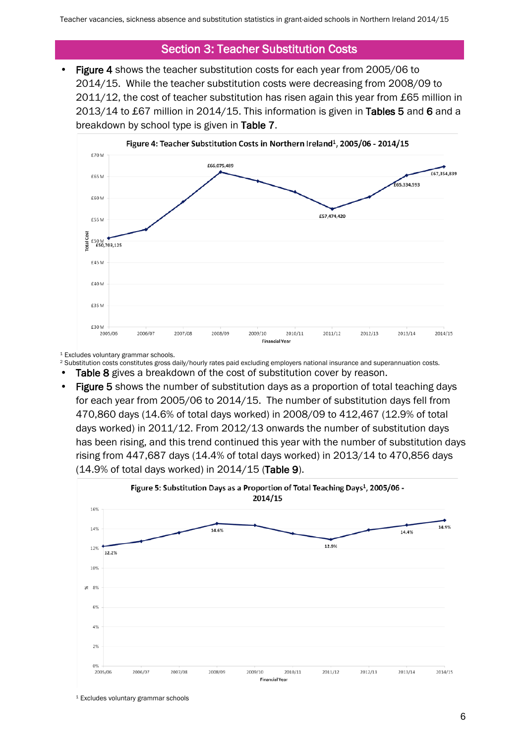#### Section 3: Teacher Substitution Costs

• Figure 4 shows the teacher substitution costs for each year from 2005/06 to 2014/15. While the teacher substitution costs were decreasing from 2008/09 to 2011/12, the cost of teacher substitution has risen again this year from £65 million in 2013/14 to £67 million in 2014/15. This information is given in Tables 5 and 6 and a breakdown by school type is given in Table 7.



<sup>1</sup> Excludes voluntary grammar schools.

- <sup>2</sup> Substitution costs constitutes gross daily/hourly rates paid excluding employers national insurance and superannuation costs.
- Table 8 gives a breakdown of the cost of substitution cover by reason.
- Figure 5 shows the number of substitution days as a proportion of total teaching days for each year from 2005/06 to 2014/15. The number of substitution days fell from 470,860 days (14.6% of total days worked) in 2008/09 to 412,467 (12.9% of total days worked) in 2011/12. From 2012/13 onwards the number of substitution days has been rising, and this trend continued this year with the number of substitution days rising from 447,687 days (14.4% of total days worked) in 2013/14 to 470,856 days (14.9% of total days worked) in 2014/15 (Table 9).



<sup>1</sup> Excludes voluntary grammar schools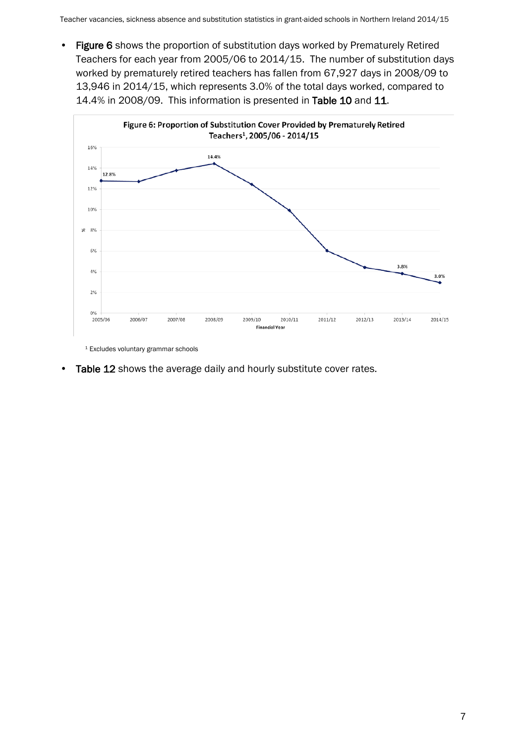• Figure 6 shows the proportion of substitution days worked by Prematurely Retired Teachers for each year from 2005/06 to 2014/15. The number of substitution days worked by prematurely retired teachers has fallen from 67,927 days in 2008/09 to 13,946 in 2014/15, which represents 3.0% of the total days worked, compared to 14.4% in 2008/09. This information is presented in Table 10 and 11.



<sup>1</sup> Excludes voluntary grammar schools

• Table 12 shows the average daily and hourly substitute cover rates.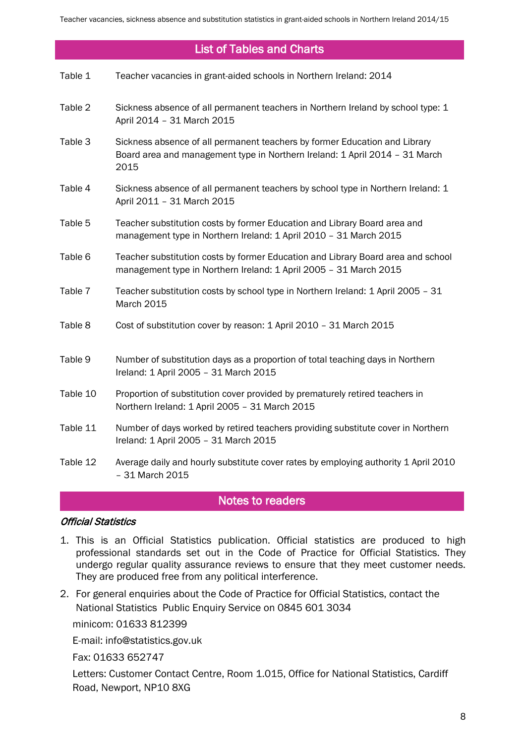#### List of Tables and Charts

| Table 1 | Teacher vacancies in grant-aided schools in Northern Ireland: 2014 |
|---------|--------------------------------------------------------------------|
|---------|--------------------------------------------------------------------|

- Table 2 Sickness absence of all permanent teachers in Northern Ireland by school type: 1 April 2014 – 31 March 2015
- Table 3 Sickness absence of all permanent teachers by former Education and Library Board area and management type in Northern Ireland: 1 April 2014 – 31 March 2015
- Table 4 Sickness absence of all permanent teachers by school type in Northern Ireland: 1 April 2011 – 31 March 2015
- Table 5 Teacher substitution costs by former Education and Library Board area and management type in Northern Ireland: 1 April 2010 – 31 March 2015
- Table 6 Teacher substitution costs by former Education and Library Board area and school management type in Northern Ireland: 1 April 2005 – 31 March 2015
- Table 7 Teacher substitution costs by school type in Northern Ireland: 1 April 2005 31 March 2015
- Table 8 Cost of substitution cover by reason: 1 April 2010 31 March 2015
- Table 9 Number of substitution days as a proportion of total teaching days in Northern Ireland: 1 April 2005 – 31 March 2015
- Table 10 Proportion of substitution cover provided by prematurely retired teachers in Northern Ireland: 1 April 2005 – 31 March 2015
- Table 11 Number of days worked by retired teachers providing substitute cover in Northern Ireland: 1 April 2005 – 31 March 2015
- Table 12 Average daily and hourly substitute cover rates by employing authority 1 April 2010 – 31 March 2015

#### Notes to readers

#### Official Statistics

- 1. This is an Official Statistics publication. Official statistics are produced to high professional standards set out in the Code of Practice for Official Statistics. They undergo regular quality assurance reviews to ensure that they meet customer needs. They are produced free from any political interference.
- 2. For general enquiries about the Code of Practice for Official Statistics, contact the National Statistics Public Enquiry Service on 0845 601 3034

minicom: 01633 812399

E-mail: info@statistics.gov.uk

Fax: 01633 652747

Letters: Customer Contact Centre, Room 1.015, Office for National Statistics, Cardiff Road, Newport, NP10 8XG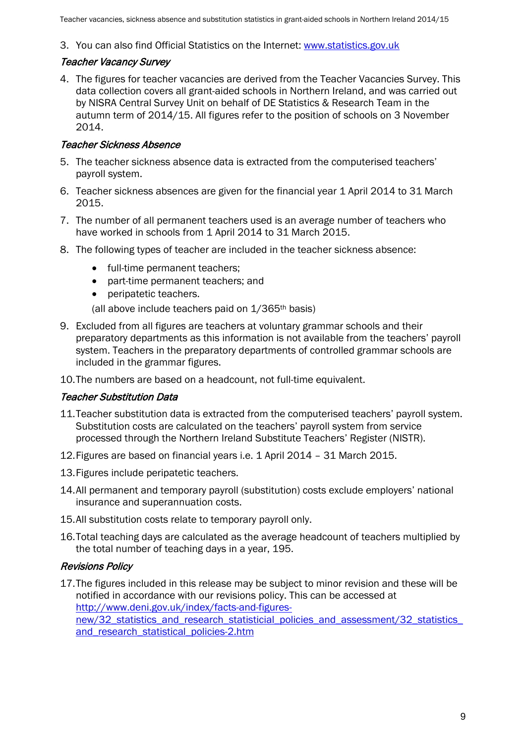#### 3. You can also find Official Statistics on the Internet: www.statistics.gov.uk

#### Teacher Vacancy Survey

4. The figures for teacher vacancies are derived from the Teacher Vacancies Survey. This data collection covers all grant-aided schools in Northern Ireland, and was carried out by NISRA Central Survey Unit on behalf of DE Statistics & Research Team in the autumn term of 2014/15. All figures refer to the position of schools on 3 November 2014.

#### Teacher Sickness Absence

- 5. The teacher sickness absence data is extracted from the computerised teachers' payroll system.
- 6. Teacher sickness absences are given for the financial year 1 April 2014 to 31 March 2015.
- 7. The number of all permanent teachers used is an average number of teachers who have worked in schools from 1 April 2014 to 31 March 2015.
- 8. The following types of teacher are included in the teacher sickness absence:
	- full-time permanent teachers;
	- part-time permanent teachers; and
	- peripatetic teachers.
	- (all above include teachers paid on 1/365th basis)
- 9. Excluded from all figures are teachers at voluntary grammar schools and their preparatory departments as this information is not available from the teachers' payroll system. Teachers in the preparatory departments of controlled grammar schools are included in the grammar figures.
- 10.The numbers are based on a headcount, not full-time equivalent.

#### Teacher Substitution Data

- 11.Teacher substitution data is extracted from the computerised teachers' payroll system. Substitution costs are calculated on the teachers' payroll system from service processed through the Northern Ireland Substitute Teachers' Register (NISTR).
- 12.Figures are based on financial years i.e. 1 April 2014 31 March 2015.
- 13.Figures include peripatetic teachers.
- 14.All permanent and temporary payroll (substitution) costs exclude employers' national insurance and superannuation costs.
- 15.All substitution costs relate to temporary payroll only.
- 16.Total teaching days are calculated as the average headcount of teachers multiplied by the total number of teaching days in a year, 195.

#### Revisions Policy

17.The figures included in this release may be subject to minor revision and these will be notified in accordance with our revisions policy. This can be accessed at [http://www.deni.gov.uk/index/facts-and-figures](http://www.deni.gov.uk/index/facts-and-figures-new/32_statistics_and_research_statisticial_policies_and_assessment/32_statistics_and_research_statistical_policies-2.htm)new/32 statistics and research statisticial policies and assessment/32 statistics and research statistical policies-2.htm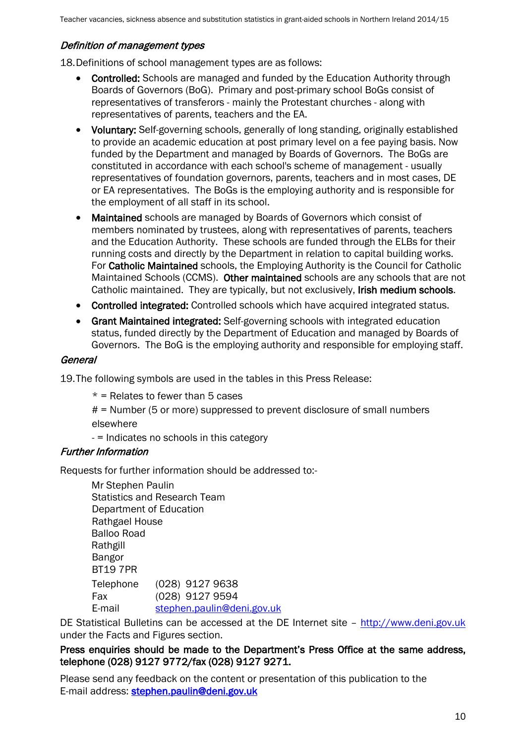#### Definition of management types

18.Definitions of school management types are as follows:

- Controlled: Schools are managed and funded by the Education Authority through Boards of Governors (BoG). Primary and post-primary school BoGs consist of representatives of transferors - mainly the Protestant churches - along with representatives of parents, teachers and the EA.
- Voluntary: Self-governing schools, generally of long standing, originally established to provide an academic education at post primary level on a fee paying basis. Now funded by the Department and managed by Boards of Governors. The BoGs are constituted in accordance with each school's scheme of management - usually representatives of foundation governors, parents, teachers and in most cases, DE or EA representatives. The BoGs is the employing authority and is responsible for the employment of all staff in its school.
- Maintained schools are managed by Boards of Governors which consist of members nominated by trustees, along with representatives of parents, teachers and the Education Authority. These schools are funded through the ELBs for their running costs and directly by the Department in relation to capital building works. For Catholic Maintained schools, the Employing Authority is the Council for Catholic Maintained Schools (CCMS). Other maintained schools are any schools that are not Catholic maintained. They are typically, but not exclusively, Irish medium schools.
- Controlled integrated: Controlled schools which have acquired integrated status.
- Grant Maintained integrated: Self-governing schools with integrated education status, funded directly by the Department of Education and managed by Boards of Governors. The BoG is the employing authority and responsible for employing staff.

#### General

19.The following symbols are used in the tables in this Press Release:

 $*$  = Relates to fewer than 5 cases

# = Number (5 or more) suppressed to prevent disclosure of small numbers elsewhere

- = Indicates no schools in this category

#### Further Information

Requests for further information should be addressed to:-

Mr Stephen Paulin Statistics and Research Team Department of Education Rathgael House Balloo Road Rathgill Bangor BT19 7PR Telephone (028) 9127 9638 Fax (028) 9127 9594 E-mail [stephen.paulin@deni.gov.uk](mailto:stephen.paulin@deni.gov.uk)

DE Statistical Bulletins can be accessed at the DE Internet site - [http://www.deni.gov.uk](http://www.deni.gov.uk/) under the Facts and Figures section.

#### Press enquiries should be made to the Department's Press Office at the same address, telephone (028) 9127 9772/fax (028) 9127 9271.

Please send any feedback on the content or presentation of this publication to the E-mail address: [stephen.paulin@deni.gov.uk](mailto:stephen.paulin@deni.gov.uk)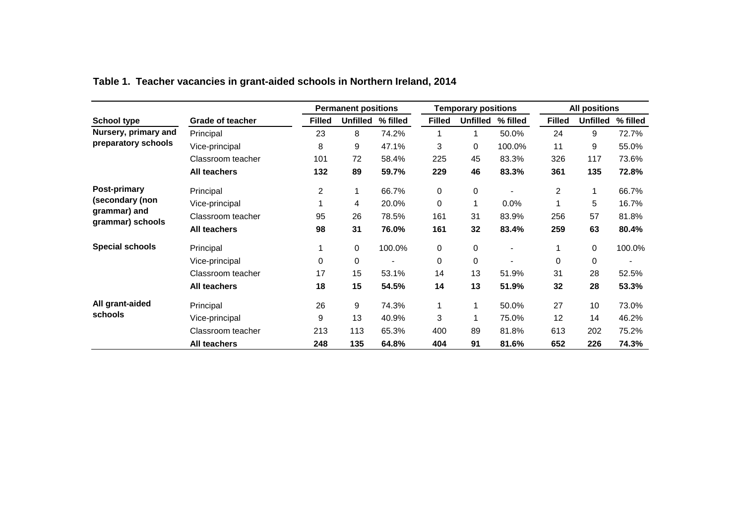|                                  |                         |               | <b>Permanent positions</b> |                          |               | <b>Temporary positions</b> |                          | <b>All positions</b> |                 |                |
|----------------------------------|-------------------------|---------------|----------------------------|--------------------------|---------------|----------------------------|--------------------------|----------------------|-----------------|----------------|
| <b>School type</b>               | <b>Grade of teacher</b> | <b>Filled</b> | <b>Unfilled</b>            | % filled                 | <b>Filled</b> | <b>Unfilled</b>            | % filled                 | <b>Filled</b>        | <b>Unfilled</b> | % filled       |
| Nursery, primary and             | Principal               | 23            | 8                          | 74.2%                    | 1             | 1                          | 50.0%                    | 24                   | 9               | 72.7%          |
| preparatory schools              | Vice-principal          | 8             | 9                          | 47.1%                    | 3             | 0                          | 100.0%                   | 11                   | 9               | 55.0%          |
|                                  | Classroom teacher       | 101           | 72                         | 58.4%                    | 225           | 45                         | 83.3%                    | 326                  | 117             | 73.6%          |
|                                  | <b>All teachers</b>     | 132           | 89                         | 59.7%                    | 229           | 46                         | 83.3%                    | 361                  | 135             | 72.8%          |
| Post-primary                     | Principal               | 2             | 1                          | 66.7%                    | $\mathbf 0$   | 0                          |                          | $\overline{2}$       | 1               | 66.7%          |
| (secondary (non                  | Vice-principal          |               | 4                          | 20.0%                    | $\mathbf 0$   |                            | 0.0%                     |                      | 5               | 16.7%          |
| grammar) and<br>grammar) schools | Classroom teacher       | 95            | 26                         | 78.5%                    | 161           | 31                         | 83.9%                    | 256                  | 57              | 81.8%          |
|                                  | <b>All teachers</b>     | 98            | 31                         | 76.0%                    | 161           | 32                         | 83.4%                    | 259                  | 63              | 80.4%          |
| <b>Special schools</b>           | Principal               |               | 0                          | 100.0%                   | 0             | 0                          | $\overline{\phantom{a}}$ |                      | 0               | 100.0%         |
|                                  | Vice-principal          | $\Omega$      | 0                          | $\overline{\phantom{a}}$ | $\mathbf 0$   | 0                          | $\blacksquare$           | $\Omega$             | $\mathbf 0$     | $\blacksquare$ |
|                                  | Classroom teacher       | 17            | 15                         | 53.1%                    | 14            | 13                         | 51.9%                    | 31                   | 28              | 52.5%          |
|                                  | <b>All teachers</b>     | 18            | 15                         | 54.5%                    | 14            | 13                         | 51.9%                    | 32                   | 28              | 53.3%          |
| All grant-aided                  | Principal               | 26            | 9                          | 74.3%                    | 1             |                            | 50.0%                    | 27                   | 10              | 73.0%          |
| schools                          | Vice-principal          | 9             | 13                         | 40.9%                    | 3             |                            | 75.0%                    | 12                   | 14              | 46.2%          |
|                                  | Classroom teacher       | 213           | 113                        | 65.3%                    | 400           | 89                         | 81.8%                    | 613                  | 202             | 75.2%          |
|                                  | <b>All teachers</b>     | 248           | 135                        | 64.8%                    | 404           | 91                         | 81.6%                    | 652                  | 226             | 74.3%          |

## **Table 1. Teacher vacancies in grant-aided schools in Northern Ireland, 2014**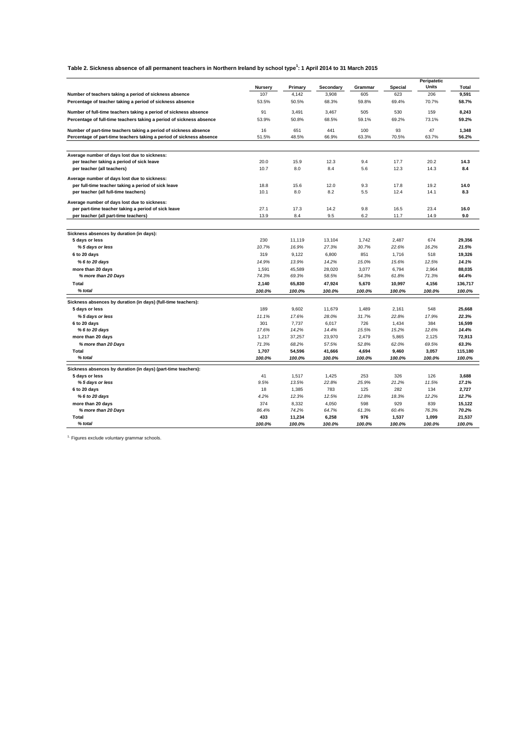#### **Table 2. Sickness absence of all permanent teachers in Northern Ireland by school type<sup>1</sup> : 1 April 2014 to 31 March 2015**

|                                                                      |                |         |           |         |                | Peripatetic |         |
|----------------------------------------------------------------------|----------------|---------|-----------|---------|----------------|-------------|---------|
|                                                                      | <b>Nursery</b> | Primary | Secondary | Grammar | <b>Special</b> | Units       | Total   |
| Number of teachers taking a period of sickness absence               | 107            | 4,142   | 3,908     | 605     | 623            | 206         | 9,591   |
| Percentage of teacher taking a period of sickness absence            | 53.5%          | 50.5%   | 68.3%     | 59.8%   | 69.4%          | 70.7%       | 58.7%   |
| Number of full-time teachers taking a period of sickness absence     | 91             | 3,491   | 3.467     | 505     | 530            | 159         | 8,243   |
| Percentage of full-time teachers taking a period of sickness absence | 53.9%          | 50.8%   | 68.5%     | 59.1%   | 69.2%          | 73.1%       | 59.2%   |
| Number of part-time teachers taking a period of sickness absence     | 16             | 651     | 441       | 100     | 93             | 47          | 1,348   |
| Percentage of part-time teachers taking a period of sickness absence | 51.5%          | 48.5%   | 66.9%     | 63.3%   | 70.5%          | 63.7%       | 56.2%   |
|                                                                      |                |         |           |         |                |             |         |
| Average number of days lost due to sickness:                         |                |         |           |         |                |             |         |
| per teacher taking a period of sick leave                            | 20.0           | 15.9    | 12.3      | 9.4     | 17.7           | 20.2        | 14.3    |
| per teacher (all teachers)                                           | 10.7           | 8.0     | 8.4       | 5.6     | 12.3           | 14.3        | 8.4     |
| Average number of days lost due to sickness:                         |                |         |           |         |                |             |         |
| per full-time teacher taking a period of sick leave                  | 18.8           | 15.6    | 12.0      | 9.3     | 17.8           | 19.2        | 14.0    |
| per teacher (all full-time teachers)                                 | 10.1           | 8.0     | 8.2       | 5.5     | 12.4           | 14.1        | 8.3     |
| Average number of days lost due to sickness:                         |                |         |           |         |                |             |         |
| per part-time teacher taking a period of sick leave                  | 27.1           | 17.3    | 14.2      | 9.8     | 16.5           | 23.4        | 16.0    |
| per teacher (all part-time teachers)                                 | 13.9           | 8.4     | 9.5       | 6.2     | 11.7           | 14.9        | 9.0     |
|                                                                      |                |         |           |         |                |             |         |
| Sickness absences by duration (in days):                             |                |         |           |         |                |             |         |
| 5 days or less                                                       | 230            | 11,119  | 13,104    | 1,742   | 2,487          | 674         | 29,356  |
| %5 days or less                                                      | 10.7%          | 16.9%   | 27.3%     | 30.7%   | 22.6%          | 16.2%       | 21.5%   |
| 6 to 20 days                                                         | 319            | 9,122   | 6,800     | 851     | 1,716          | 518         | 19,326  |
| % 6 to 20 days                                                       | 14.9%          | 13.9%   | 14.2%     | 15.0%   | 15.6%          | 12.5%       | 14.1%   |
| more than 20 days                                                    | 1.591          | 45.589  | 28,020    | 3.077   | 6.794          | 2.964       | 88.035  |
| % more than 20 Days                                                  | 74.3%          | 69.3%   | 58.5%     | 54.3%   | 61.8%          | 71.3%       | 64.4%   |
| Total                                                                | 2,140          | 65,830  | 47,924    | 5,670   | 10,997         | 4,156       | 136,717 |
| % total                                                              | 100.0%         | 100.0%  | 100.0%    | 100.0%  | 100.0%         | 100.0%      | 100.0%  |
| Sickness absences by duration (in days) (full-time teachers):        |                |         |           |         |                |             |         |
| 5 days or less                                                       | 189            | 9,602   | 11,679    | 1,489   | 2,161          | 548         | 25,668  |
| %5 days or less                                                      | 11.1%          | 17.6%   | 28.0%     | 31.7%   | 22.8%          | 17.9%       | 22.3%   |
| 6 to 20 days                                                         | 301            | 7,737   | 6,017     | 726     | 1,434          | 384         | 16,599  |
| % 6 to 20 days                                                       | 17.6%          | 14.2%   | 14.4%     | 15.5%   | 15.2%          | 12.6%       | 14.4%   |
| more than 20 days                                                    | 1,217          | 37,257  | 23,970    | 2,479   | 5,865          | 2,125       | 72,913  |
| % more than 20 Days                                                  | 71.3%          | 68.2%   | 57.5%     | 52.8%   | 62.0%          | 69.5%       | 63.3%   |
| Total                                                                | 1,707          | 54,596  | 41,666    | 4,694   | 9,460          | 3,057       | 115,180 |
| % total                                                              | 100.0%         | 100.0%  | 100.0%    | 100.0%  | 100.0%         | 100.0%      | 100.0%  |
| Sickness absences by duration (in days) (part-time teachers):        |                |         |           |         |                |             |         |
| 5 days or less                                                       | 41             | 1,517   | 1,425     | 253     | 326            | 126         | 3,688   |
| %5 days or less                                                      | 9.5%           | 13.5%   | 22.8%     | 25.9%   | 21.2%          | 11.5%       | 17.1%   |
| 6 to 20 days                                                         | 18             | 1,385   | 783       | 125     | 282            | 134         | 2,727   |
| % 6 to 20 days                                                       | 4.2%           | 12.3%   | 12.5%     | 12.8%   | 18.3%          | 12.2%       | 12.7%   |
| more than 20 days                                                    | 374            | 8,332   | 4,050     | 598     | 929            | 839         | 15,122  |
| % more than 20 Days                                                  | 86.4%          | 74.2%   | 64.7%     | 61.3%   | 60.4%          | 76.3%       | 70.2%   |
| Total                                                                | 433            | 11,234  | 6,258     | 976     | 1,537          | 1,099       | 21,537  |
| % total                                                              | 100.0%         | 100.0%  | 100.0%    | 100.0%  | 100.0%         | 100.0%      | 100.0%  |

 $1$ . Figures exclude voluntary grammar schools.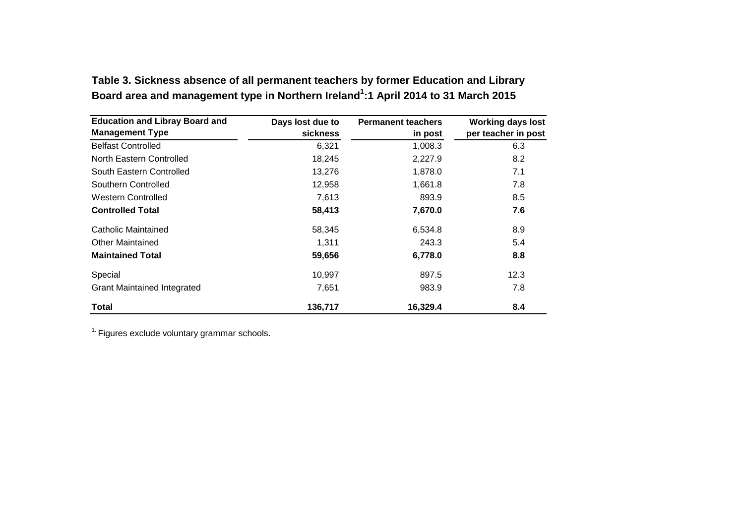| <b>Education and Libray Board and</b> | Days lost due to | <b>Permanent teachers</b> | <b>Working days lost</b> |
|---------------------------------------|------------------|---------------------------|--------------------------|
| <b>Management Type</b>                | <b>sickness</b>  | in post                   | per teacher in post      |
| <b>Belfast Controlled</b>             | 6,321            | 1,008.3                   | 6.3                      |
| North Eastern Controlled              | 18,245           | 2,227.9                   | 8.2                      |
| South Eastern Controlled              | 13,276           | 1,878.0                   | 7.1                      |
| Southern Controlled                   | 12,958           | 1,661.8                   | 7.8                      |
| Western Controlled                    | 7,613            | 893.9                     | 8.5                      |
| <b>Controlled Total</b>               | 58,413           | 7,670.0                   | 7.6                      |
| Catholic Maintained                   | 58,345           | 6,534.8                   | 8.9                      |
| <b>Other Maintained</b>               | 1,311            | 243.3                     | 5.4                      |
| <b>Maintained Total</b>               | 59,656           | 6,778.0                   | 8.8                      |
| Special                               | 10,997           | 897.5                     | 12.3                     |
| <b>Grant Maintained Integrated</b>    | 7,651            | 983.9                     | 7.8                      |
| <b>Total</b>                          | 136,717          | 16,329.4                  | 8.4                      |

**Table 3. Sickness absence of all permanent teachers by former Education and Library**  Board area and management type in Northern Ireland<sup>1</sup>:1 April 2014 to 31 March 2015

 $<sup>1</sup>$  Figures exclude voluntary grammar schools.</sup>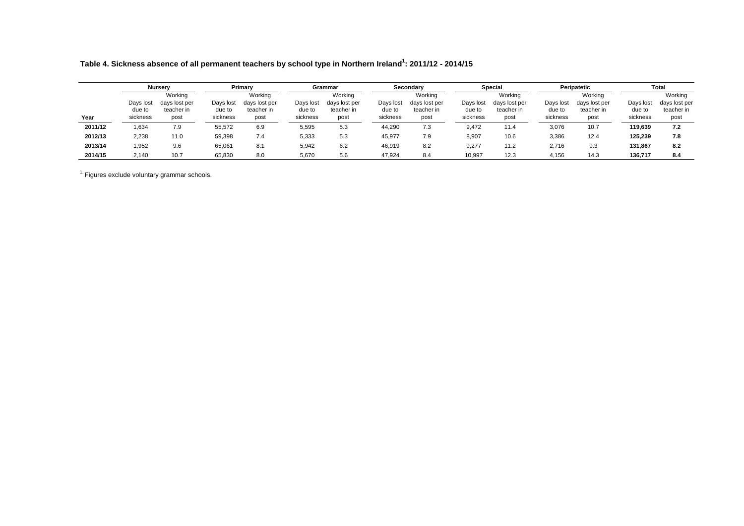**Table 4. Sickness absence of all permanent teachers by school type in Northern Ireland<sup>1</sup> : 2011/12 - 2014/15**

|         |                     | <b>Nursery</b>                         |                     | Primary                                |                     | Grammar                                |                     | Secondary                              |                     | Special                                |                     | Peripatetic                            |                     | <b>Total</b>                           |
|---------|---------------------|----------------------------------------|---------------------|----------------------------------------|---------------------|----------------------------------------|---------------------|----------------------------------------|---------------------|----------------------------------------|---------------------|----------------------------------------|---------------------|----------------------------------------|
|         | Days lost<br>due to | Working<br>days lost per<br>teacher in | Days lost<br>due to | Workina<br>days lost per<br>teacher in | Days lost<br>due to | Working<br>days lost per<br>teacher in | Days lost<br>due to | Working<br>days lost per<br>teacher in | Days lost<br>due to | Workina<br>days lost per<br>teacher in | Days lost<br>due to | Working<br>days lost per<br>teacher in | Days lost<br>due to | Working<br>days lost per<br>teacher in |
| Year    | sickness            | post                                   | sickness            | post                                   | sickness            | post                                   | sickness            | post                                   | sickness            | post                                   | sickness            | post                                   | sickness            | post                                   |
| 2011/12 | .634                | 7.9                                    | 55,572              | 6.9                                    | 5,595               | 5.3                                    | 44,290              | 7.3                                    | 9,472               | 11.4                                   | 3,076               | 10.7                                   | 119.639             | 7.2                                    |
| 2012/13 | 2.238               | 11.0                                   | 59,398              | 7.4                                    | 5,333               | 5.3                                    | 45,977              | 7.9                                    | 8,907               | 10.6                                   | 3,386               | 12.4                                   | 125.239             | 7.8                                    |
| 2013/14 | 1,952               | 9.6                                    | 65,061              | 8.1                                    | 5,942               | 6.2                                    | 46,919              | 8.2                                    | 9,277               | 11.2                                   | 2,716               | 9.3                                    | 131.867             | 8.2                                    |
| 2014/15 | 2.140               | 10.7                                   | 65.830              | 8.0                                    | 5,670               | 5.6                                    | 47.924              | 8.4                                    | 10,997              | 12.3                                   | 4,156               | 14.3                                   | 136.717             | 8.4                                    |

 $<sup>1</sup>$  Figures exclude voluntary grammar schools.</sup>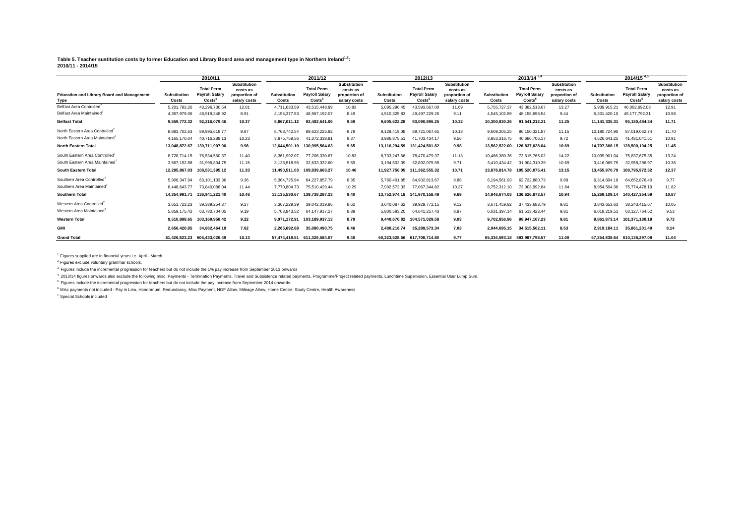**Table 5. Teacher sustitution costs by former Education and Library Board area and management type in Northern Ireland1,2: 2010/11 - 2014/15**

|                                                           |                              | 2010/11                                             |                                                                  |                              | 2011/12                                                          |                                                                  |                              | 2012/13                                                          |                                                                  |                              | $2013/14^{3,4}$                                     |                                                                  |                              | $2014\sqrt{15}^{4,5}$                                            |                                                                  |
|-----------------------------------------------------------|------------------------------|-----------------------------------------------------|------------------------------------------------------------------|------------------------------|------------------------------------------------------------------|------------------------------------------------------------------|------------------------------|------------------------------------------------------------------|------------------------------------------------------------------|------------------------------|-----------------------------------------------------|------------------------------------------------------------------|------------------------------|------------------------------------------------------------------|------------------------------------------------------------------|
| <b>Education and Library Board and Management</b><br>Type | <b>Substitution</b><br>Costs | <b>Total Perm</b><br><b>Payroll Salary</b><br>Costs | <b>Substitution</b><br>costs as<br>proportion of<br>salary costs | <b>Substitution</b><br>Costs | <b>Total Perm</b><br><b>Pavroll Salarv</b><br>Costs <sup>t</sup> | <b>Substitution</b><br>costs as<br>proportion of<br>salary costs | <b>Substitution</b><br>Costs | <b>Total Perm</b><br><b>Pavroll Salary</b><br>Costs <sup>6</sup> | <b>Substitution</b><br>costs as<br>proportion of<br>salary costs | <b>Substitution</b><br>Costs | <b>Total Perm</b><br><b>Payroll Salary</b><br>Costs | <b>Substitution</b><br>costs as<br>proportion of<br>salary costs | <b>Substitution</b><br>Costs | <b>Total Perm</b><br><b>Pavroll Salarv</b><br>Costs <sup>t</sup> | <b>Substitution</b><br>costs as<br>proportion of<br>salary costs |
| Belfast Area Controlled <sup>7</sup>                      | 5,201,793.26                 | 43,296,730.54                                       | 12.01                                                            | 4,711,633.59                 | 43,515,448.99                                                    | 10.83                                                            | 5,095,296.45                 | 43,593,667.00                                                    | 11.69                                                            | 5,755,727.37                 | 43,382,513.67                                       | 13.27                                                            | 5,939,915.21                 | 46,002,692.03                                                    | 12.91                                                            |
| Belfast Area Maintained                                   | 4,357,979.06                 | 48,919,348.92                                       | 8.91                                                             | 4,155,377.53                 | 48,967,192.07                                                    | 8.49                                                             | 4,510,325.83                 | 49,497,229.25                                                    | 9.11                                                             | 4,545,102.89                 | 48,158,698.54                                       | 9.44                                                             | 5,201,420.10                 | 49.177.792.31                                                    | 10.58                                                            |
| <b>Belfast Total</b>                                      | 9.559.772.32                 | 92,216,079.46                                       | 10.37                                                            | 8.867.011.12                 | 92.482.641.06                                                    | 9.59                                                             | 9,605,622.28                 | 93,090,896.25                                                    | 10.32                                                            | 10,300,830.26                | 91,541,212.21                                       | 11.25                                                            | 11.141.335.31                | 95.180.484.34                                                    | 11.71                                                            |
| North Eastern Area Controlled'                            | 8.883.702.63                 | 89.995.618.77                                       | 9.87                                                             | 8.768.742.54                 | 89.623.225.82                                                    | 9.78                                                             | 9.129.419.08                 | 89.721.067.65                                                    | 10.18                                                            | 9.609.205.25                 | 86.150.321.87                                       | 11.15                                                            | 10,180,724.90                | 87.019.062.74                                                    | 11.70                                                            |
| North Eastern Area Maintained                             | 4,165,170.04                 | 40.716.289.13                                       | 10.23                                                            | 3,875,758.56                 | 41,372,338.81                                                    | 9.37                                                             | 3,986,875.51                 | 41,703,434.17                                                    | 9.56                                                             | 3,953,316.75                 | 40.686.706.17                                       | 9.72                                                             | 4,526,641.25                 | 41,481,041.51                                                    | 10.91                                                            |
| <b>North Eastern Total</b>                                | 13.048.872.67                | 130.711.907.90                                      | 9.98                                                             | 12.644.501.10                | 130.995.564.63                                                   | 9.65                                                             | 13.116.294.59                | 131.424.501.82                                                   | 9.98                                                             | 13.562.522.00                | 126.837.028.04                                      | 10.69                                                            | 14.707.366.15                | 128.500.104.25                                                   | 11.45                                                            |
| South Eastern Area Controlled                             | 8.728.714.15                 | 76.534.560.37                                       | 11.40                                                            | 8,361,992.07                 | 77.206.330.67                                                    | 10.83                                                            | 8,733,247.66                 | 78.470.479.37                                                    | 11.13                                                            | 10,466,380.36                | 73.615.765.02                                       | 14.22                                                            | 10,039,901.04                | 75.837.675.35                                                    | 13.24                                                            |
| South Eastern Area Maintained'                            | 3,567,152.88                 | 31,996,834.75                                       | 11.15                                                            | 3,128,518.96                 | 32,633,332.60                                                    | 9.59                                                             | 3,194,502.39                 | 32,892,075.95                                                    | 9.71                                                             | 3,410,434.42                 | 31,904,310.39                                       | 10.69                                                            | 3,416,069.75                 | 32,958,296.97                                                    | 10.36                                                            |
| South Eastern Total                                       | 12,295,867.03                | 108,531,395.12                                      | 11.33                                                            | 11,490,511.03                | 109,839,663.27                                                   | 10.46                                                            |                              | 11,927,750.05 111,362,555.32                                     | 10.71                                                            | 13,876,814.78                | 105,520,075.41                                      | 13.15                                                            | 13,455,970.79                | 108,795,972.32                                                   | 12.37                                                            |
| Southern Area Controlled'                                 | 5.906.347.94                 | 63.101.133.36                                       | 9.36                                                             | 5,364,725.94                 | 64.227.857.79                                                    | 8.35                                                             | 5.760.401.85                 | 64.902.813.67                                                    | 8.88                                                             | 6,194,561.93                 | 62.722.880.73                                       | 9.88                                                             | 6,314,604.<br>.18            | 64.652.876.40                                                    | 9.77                                                             |
| Southern Area Maintained                                  | 8.448.643.77                 | 73.840.088.04                                       | 11.44                                                            | 7.770.804.73                 | 75.510.429.44                                                    | 10.29                                                            | 7,992,572.33                 | 77.067.344.82                                                    | 10.37                                                            | 8,752,312.10                 | 73.903.992.84                                       | 11.84                                                            | 8.954.504.96                 | 75.774.478.19                                                    | 11.82                                                            |
| <b>Southern Total</b>                                     | 14.354.991.71                | 136.941.221.40                                      | 10.48                                                            | 13,135,530.67                | 139.738.287.23                                                   | 9.40                                                             | 13,752,974.18                | 141,970,158.49                                                   | 9.69                                                             | 14.946.874.03                | 136,626,873.57                                      | 10.94                                                            | 15,269,109.14                | 140,427,354.59                                                   | 10.87                                                            |
| Western Area Controlled <sup>7</sup>                      | 3.651.723.23                 | 39.389.254.37                                       | 9.27                                                             | 3,367,229.39                 | 39.042.019.86                                                    | 8.62                                                             | 3.640.087.62                 | 39.929.772.15                                                    | 9.12                                                             | 3.671.459.82                 | 37.433.683.79                                       | 9.81                                                             | 3.843.653.63                 | 38.243.415.67                                                    | 10.05                                                            |
| Western Area Maintained'                                  | 5,859,175.42                 | 63,780,704.05                                       | 9.19                                                             | 5,703,943.52                 | 64, 147, 917. 27                                                 | 8.89                                                             | 5,800,583.20                 | 64,641,257.43                                                    | 8.97                                                             | 6,031,397.14                 | 61,513,423.44                                       | 9.81                                                             | 6,018,219.51                 | 63,127,764.52                                                    | 9.53                                                             |
| <b>Western Total</b>                                      | 9.510.898.65                 | 103,169,958.42                                      | 9.22                                                             | 9.071.172.91                 | 103,189,937.13                                                   | 8.79                                                             |                              | 9,440,670.82 104,571,029.58                                      | 9.03                                                             | 9,702,856.96                 | 98.947.107.23                                       | 9.81                                                             | 9.861.873.14                 | 101,371,180.19                                                   | 9.73                                                             |
| <b>GMI</b>                                                | 2.656.420.85                 | 34,862,464.19                                       | 7.62                                                             | 2,265,692.68                 | 35.080.490.75                                                    | 6.46                                                             | 2.480.216.74                 | 35,289,573.34                                                    | 7.03                                                             | 2.944.695.15                 | 34,515,502.11                                       | 8.53                                                             | 2,919,184.11                 | 35,861,201.40                                                    | 8.14                                                             |
| <b>Grand Total</b>                                        |                              | 61.426.823.23 606.433.026.49                        | 10.13                                                            |                              | 57.474.419.51 611.326.584.07                                     | 9.40                                                             |                              | 60.323.528.66 617.708.714.80                                     | 9.77                                                             |                              | 65.334.593.18 593.987.798.57                        | 11.00                                                            |                              | 67.354.838.64 610.136.297.09                                     | 11.04                                                            |

 $1.$  Figures supplied are in financial years i.e. April - March

<sup>2</sup>. Figures exclude voluntary grammar schools.

3. Figures include the incremental progression for teachers but do not include the 1% pay increase from September 2013 onwards

4. 2013/14 figures onwards also exclude the following misc. Payments - Termination Payments, Travel and Subsistence related payments, Programme/Project related payments, Lunchtime Supervision, Essential User Lump Sum.

<sup>5.</sup> Figures include the incremental progression for teachers but do not include the pay increase from September 2014 onwards.

<sup>6</sup>. Misc payments not included - Pay in Lieu, Honorarium, Redundancy, Misc Payment, NOF Allow, Mileage Allow, Home Centre, Study Centre, Health Awareness

7. Special Schools included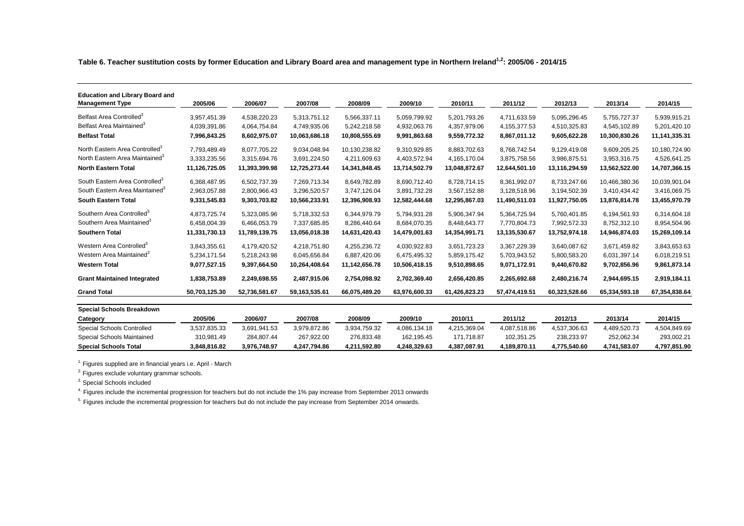**Table 6. Teacher sustitution costs by former Education and Library Board area and management type in Northern Ireland1,2: 2005/06 - 2014/15**

| <b>Education and Library Board and</b><br><b>Management Type</b> | 2005/06       | 2006/07       | 2007/08          | 2008/09       | 2009/10       | 2010/11       | 2011/12       | 2012/13       | 2013/14       | 2014/15       |
|------------------------------------------------------------------|---------------|---------------|------------------|---------------|---------------|---------------|---------------|---------------|---------------|---------------|
| Belfast Area Controlled <sup>3</sup>                             | 3,957,451.39  | 4,538,220.23  | 5,313,751.12     | 5,566,337.11  | 5,059,799.92  | 5,201,793.26  | 4,711,633.59  | 5,095,296.45  | 5,755,727.37  | 5,939,915.21  |
| Belfast Area Maintained <sup>3</sup>                             | 4,039,391.86  | 4,064,754.84  | 4,749,935.06     | 5,242,218.58  | 4,932,063.76  | 4,357,979.06  | 4,155,377.53  | 4,510,325.83  | 4,545,102.89  | 5,201,420.10  |
| <b>Belfast Total</b>                                             | 7,996,843.25  | 8,602,975.07  | 10,063,686.18    | 10,808,555.69 | 9,991,863.68  | 9,559,772.32  | 8,867,011.12  | 9,605,622.28  | 10,300,830.26 | 11,141,335.31 |
| North Eastern Area Controlled <sup>3</sup>                       | 7,793,489.49  | 8,077,705.22  | 9,034,048.94     | 10,130,238.82 | 9,310,929.85  | 8,883,702.63  | 8,768,742.54  | 9,129,419.08  | 9,609,205.25  | 10,180,724.90 |
| North Eastern Area Maintained <sup>3</sup>                       | 3,333,235.56  | 3,315,694.76  | 3,691,224.50     | 4,211,609.63  | 4,403,572.94  | 4,165,170.04  | 3,875,758.56  | 3,986,875.51  | 3,953,316.75  | 4,526,641.25  |
| <b>North Eastern Total</b>                                       | 11,126,725.05 | 11,393,399.98 | 12,725,273.44    | 14,341,848.45 | 13,714,502.79 | 13,048,872.67 | 12,644,501.10 | 13,116,294.59 | 13,562,522.00 | 14,707,366.15 |
| South Eastern Area Controlled <sup>3</sup>                       | 6,368,487.95  | 6,502,737.39  | 7,269,713.34     | 8,649,782.89  | 8,690,712.40  | 8,728,714.15  | 8,361,992.07  | 8,733,247.66  | 10,466,380.36 | 10,039,901.04 |
| South Eastern Area Maintained <sup>3</sup>                       | 2,963,057.88  | 2,800,966.43  | 3,296,520.57     | 3,747,126.04  | 3,891,732.28  | 3,567,152.88  | 3,128,518.96  | 3,194,502.39  | 3,410,434.42  | 3,416,069.75  |
| <b>South Eastern Total</b>                                       | 9,331,545.83  | 9,303,703.82  | 10,566,233.91    | 12,396,908.93 | 12,582,444.68 | 12,295,867.03 | 11,490,511.03 | 11,927,750.05 | 13,876,814.78 | 13,455,970.79 |
| Southern Area Controlled <sup>3</sup>                            | 4,873,725.74  | 5,323,085.96  | 5,718,332.53     | 6,344,979.79  | 5,794,931.28  | 5,906,347.94  | 5,364,725.94  | 5,760,401.85  | 6,194,561.93  | 6,314,604.18  |
| Southern Area Maintained <sup>3</sup>                            | 6,458,004.39  | 6,466,053.79  | 7,337,685.85     | 8,286,440.64  | 8,684,070.35  | 8,448,643.77  | 7,770,804.73  | 7,992,572.33  | 8,752,312.10  | 8,954,504.96  |
| <b>Southern Total</b>                                            | 11,331,730.13 | 11,789,139.75 | 13,056,018.38    | 14,631,420.43 | 14,479,001.63 | 14,354,991.71 | 13,135,530.67 | 13,752,974.18 | 14,946,874.03 | 15,269,109.14 |
| Western Area Controlled <sup>3</sup>                             | 3,843,355.61  | 4,179,420.52  | 4,218,751.80     | 4,255,236.72  | 4,030,922.83  | 3,651,723.23  | 3,367,229.39  | 3,640,087.62  | 3,671,459.82  | 3,843,653.63  |
| Western Area Maintained <sup>3</sup>                             | 5,234,171.54  | 5,218,243.98  | 6,045,656.84     | 6,887,420.06  | 6,475,495.32  | 5,859,175.42  | 5,703,943.52  | 5,800,583.20  | 6,031,397.14  | 6,018,219.51  |
| <b>Western Total</b>                                             | 9,077,527.15  | 9,397,664.50  | 10,264,408.64    | 11,142,656.78 | 10,506,418.15 | 9,510,898.65  | 9,071,172.91  | 9,440,670.82  | 9,702,856.96  | 9,861,873.14  |
| <b>Grant Maintained Integrated</b>                               | 1,838,753.89  | 2,249,698.55  | 2,487,915.06     | 2,754,098.92  | 2,702,369.40  | 2,656,420.85  | 2,265,692.68  | 2,480,216.74  | 2,944,695.15  | 2,919,184.11  |
| <b>Grand Total</b>                                               | 50,703,125.30 | 52,736,581.67 | 59, 163, 535. 61 | 66,075,489.20 | 63,976,600.33 | 61,426,823.23 | 57,474,419.51 | 60,323,528.66 | 65,334,593.18 | 67,354,838.64 |
| <b>Special Schools Breakdown</b>                                 |               |               |                  |               |               |               |               |               |               |               |
| Category                                                         | 2005/06       | 2006/07       | 2007/08          | 2008/09       | 2009/10       | 2010/11       | 2011/12       | 2012/13       | 2013/14       | 2014/15       |
| Special Schools Controlled                                       | 3,537,835.33  | 3,691,941.53  | 3,979,872.86     | 3,934,759.32  | 4,086,134.18  | 4,215,369.04  | 4,087,518.86  | 4,537,306.63  | 4,489,520.73  | 4,504,849.69  |
| Special Schools Maintained                                       | 310,981.49    | 284,807.44    | 267,922.00       | 276,833.48    | 162,195.45    | 171,718.87    | 102,351.25    | 238,233.97    | 252,062.34    | 293,002.21    |
| <b>Special Schools Total</b>                                     | 3,848,816.82  | 3,976,748.97  | 4,247,794.86     | 4,211,592.80  | 4,248,329.63  | 4,387,087.91  | 4,189,870.11  | 4,775,540.60  | 4,741,583.07  | 4,797,851.90  |

 $1.$  Figures supplied are in financial years i.e. April - March

2. Figures exclude voluntary grammar schools.

3. Special Schools included

<sup>4.</sup> Figures include the incremental progression for teachers but do not include the 1% pay increase from September 2013 onwards

<sup>5.</sup> Figures include the incremental progression for teachers but do not include the pay increase from September 2014 onwards.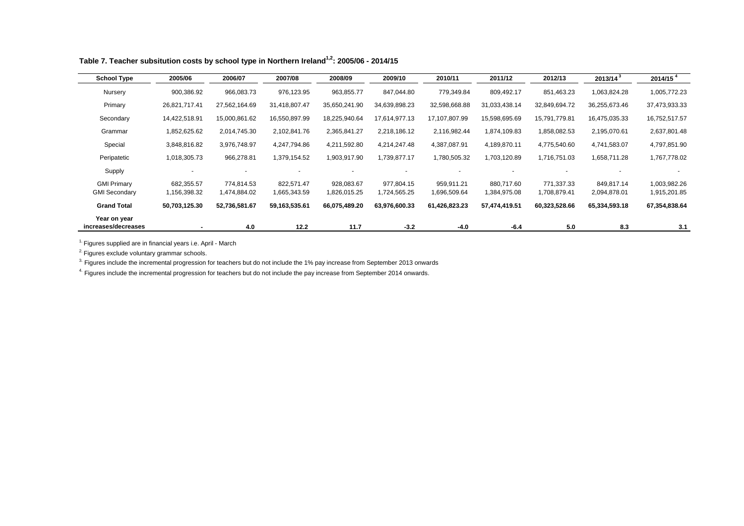| <b>School Type</b>   | 2005/06       | 2006/07       | 2007/08       | 2008/09       | 2009/10       | 2010/11       | 2011/12       | 2012/13       | 2013/14 <sup>3</sup> | 2014/15 <sup>4</sup> |
|----------------------|---------------|---------------|---------------|---------------|---------------|---------------|---------------|---------------|----------------------|----------------------|
| Nursery              | 900,386.92    | 966,083.73    | 976,123.95    | 963,855.77    | 847,044.80    | 779,349.84    | 809,492.17    | 851,463.23    | 1,063,824.28         | 1,005,772.23         |
| Primary              | 26,821,717.41 | 27,562,164.69 | 31,418,807.47 | 35,650,241.90 | 34,639,898.23 | 32,598,668.88 | 31,033,438.14 | 32,849,694.72 | 36,255,673.46        | 37,473,933.33        |
| Secondary            | 14,422,518.91 | 15,000,861.62 | 16,550,897.99 | 18,225,940.64 | 17,614,977.13 | 17,107,807.99 | 15,598,695.69 | 15,791,779.81 | 16,475,035.33        | 16,752,517.57        |
| Grammar              | 1,852,625.62  | 2,014,745.30  | 2,102,841.76  | 2,365,841.27  | 2,218,186.12  | 2,116,982.44  | 1,874,109.83  | 1,858,082.53  | 2,195,070.61         | 2,637,801.48         |
| Special              | 3,848,816.82  | 3,976,748.97  | 4,247,794.86  | 4,211,592.80  | 4,214,247.48  | 4,387,087.91  | 4,189,870.11  | 4,775,540.60  | 4,741,583.07         | 4,797,851.90         |
| Peripatetic          | 1,018,305.73  | 966,278.81    | 1,379,154.52  | 1,903,917.90  | 1,739,877.17  | 1,780,505.32  | 1,703,120.89  | 1,716,751.03  | 1,658,711.28         | 1,767,778.02         |
| Supply               |               |               |               |               |               |               |               |               |                      |                      |
| <b>GMI Primary</b>   | 682,355.57    | 774,814.53    | 822,571.47    | 928,083.67    | 977,804.15    | 959,911.21    | 880.717.60    | 771,337.33    | 849,817.14           | 1,003,982.26         |
| <b>GMI Secondary</b> | 1,156,398.32  | 1,474,884.02  | 1,665,343.59  | 1,826,015.25  | 1,724,565.25  | 1,696,509.64  | 1,384,975.08  | 1,708,879.41  | 2,094,878.01         | 1,915,201.85         |
| <b>Grand Total</b>   | 50,703,125.30 | 52,736,581.67 | 59,163,535.61 | 66,075,489.20 | 63,976,600.33 | 61,426,823.23 | 57,474,419.51 | 60,323,528.66 | 65,334,593.18        | 67,354,838.64        |
| Year on year         |               |               |               |               |               |               |               |               |                      |                      |
| increases/decreases  | ٠             | 4.0           | 12.2          | 11.7          | $-3.2$        | $-4.0$        | $-6.4$        | 5.0           | 8.3                  | 3.1                  |

Table 7. Teacher subsitution costs by school type in Northern Ireland<sup>1,2</sup>: 2005/06 - 2014/15

<sup>2.</sup> Figures exclude voluntary grammar schools.

 $^3$  Figures include the incremental progression for teachers but do not include the 1% pay increase from September 2013 onwards

<sup>4.</sup> Figures include the incremental progression for teachers but do not include the pay increase from September 2014 onwards.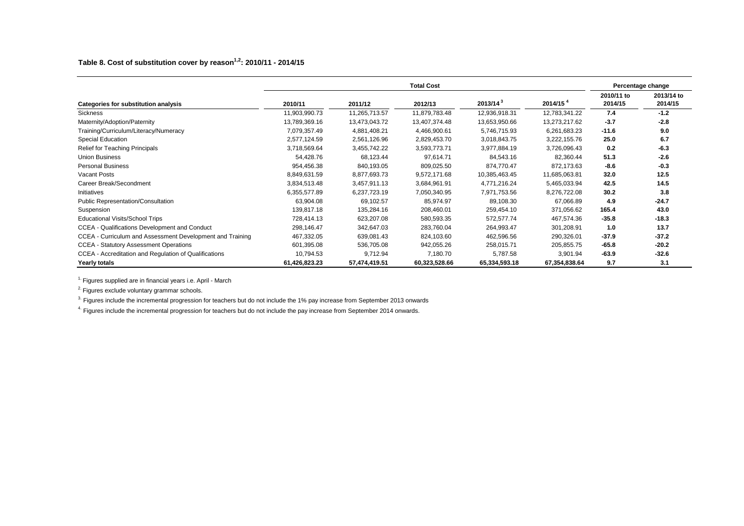|                                                           |               |               | <b>Total Cost</b> |                      |                      |                       | Percentage change     |
|-----------------------------------------------------------|---------------|---------------|-------------------|----------------------|----------------------|-----------------------|-----------------------|
| Categories for substitution analysis                      | 2010/11       | 2011/12       | 2012/13           | 2013/14 <sup>3</sup> | 2014/15 <sup>4</sup> | 2010/11 to<br>2014/15 | 2013/14 to<br>2014/15 |
| <b>Sickness</b>                                           | 11,903,990.73 | 11,265,713.57 | 11,879,783.48     | 12,936,918.31        | 12,783,341.22        | 7.4                   | $-1.2$                |
| Maternity/Adoption/Paternity                              | 13,789,369.16 | 13,473,043.72 | 13,407,374.48     | 13,653,950.66        | 13,273,217.62        | $-3.7$                | $-2.8$                |
| Training/Curriculum/Literacy/Numeracy                     | 7,079,357.49  | 4,881,408.21  | 4,466,900.61      | 5,746,715.93         | 6,261,683.23         | $-11.6$               | 9.0                   |
| Special Education                                         | 2,577,124.59  | 2,561,126.96  | 2,829,453.70      | 3,018,843.75         | 3,222,155.76         | 25.0                  | 6.7                   |
| Relief for Teaching Principals                            | 3,718,569.64  | 3,455,742.22  | 3,593,773.71      | 3,977,884.19         | 3,726,096.43         | 0.2                   | $-6.3$                |
| <b>Union Business</b>                                     | 54,428.76     | 68,123.44     | 97,614.71         | 84,543.16            | 82,360.44            | 51.3                  | $-2.6$                |
| <b>Personal Business</b>                                  | 954,456.38    | 840,193.05    | 809,025.50        | 874.770.47           | 872.173.63           | $-8.6$                | $-0.3$                |
| Vacant Posts                                              | 8,849,631.59  | 8,877,693.73  | 9,572,171.68      | 10,385,463.45        | 11,685,063.81        | 32.0                  | 12.5                  |
| Career Break/Secondment                                   | 3,834,513.48  | 3,457,911.13  | 3,684,961.91      | 4,771,216.24         | 5,465,033.94         | 42.5                  | 14.5                  |
| Initiatives                                               | 6,355,577.89  | 6,237,723.19  | 7,050,340.95      | 7,971,753.56         | 8,276,722.08         | 30.2                  | 3.8                   |
| Public Representation/Consultation                        | 63,904.08     | 69,102.57     | 85,974.97         | 89,108.30            | 67,066.89            | 4.9                   | $-24.7$               |
| Suspension                                                | 139,817.18    | 135,284.16    | 208,460.01        | 259,454.10           | 371,056.62           | 165.4                 | 43.0                  |
| <b>Educational Visits/School Trips</b>                    | 728,414.13    | 623,207.08    | 580,593.35        | 572,577.74           | 467,574.36           | $-35.8$               | $-18.3$               |
| CCEA - Qualifications Development and Conduct             | 298,146.47    | 342,647.03    | 283,760.04        | 264,993.47           | 301,208.91           | 1.0                   | 13.7                  |
| CCEA - Curriculum and Assessment Development and Training | 467,332.05    | 639,081.43    | 824,103.60        | 462,596.56           | 290,326.01           | $-37.9$               | $-37.2$               |
| <b>CCEA - Statutory Assessment Operations</b>             | 601,395.08    | 536,705.08    | 942,055.26        | 258,015.71           | 205,855.75           | $-65.8$               | $-20.2$               |
| CCEA - Accreditation and Regulation of Qualifications     | 10,794.53     | 9,712.94      | 7,180.70          | 5,787.58             | 3,901.94             | $-63.9$               | $-32.6$               |
| Yearly totals                                             | 61,426,823.23 | 57,474,419.51 | 60,323,528.66     | 65,334,593.18        | 67,354,838.64        | 9.7                   | 3.1                   |

<sup>2</sup>. Figures exclude voluntary grammar schools.

<sup>3.</sup> Figures include the incremental progression for teachers but do not include the 1% pay increase from September 2013 onwards

<sup>4.</sup> Figures include the incremental progression for teachers but do not include the pay increase from September 2014 onwards.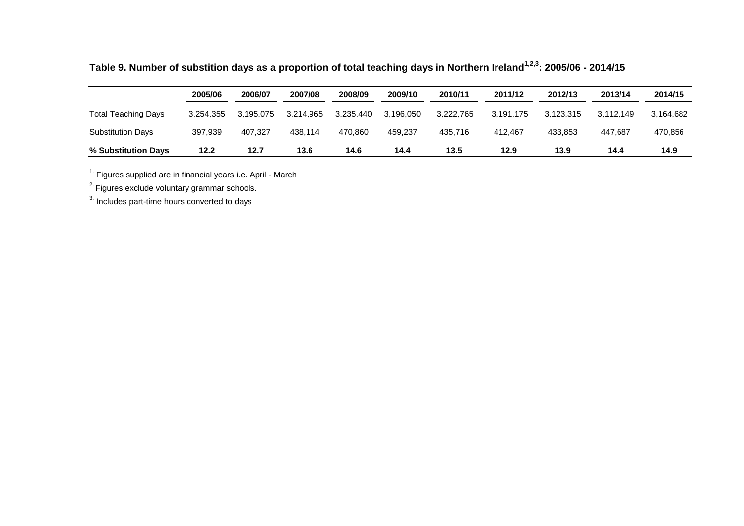|                            | 2005/06   | 2006/07   | 2007/08   | 2008/09   | 2009/10   | 2010/11   | 2011/12   | 2012/13   | 2013/14   | 2014/15   |
|----------------------------|-----------|-----------|-----------|-----------|-----------|-----------|-----------|-----------|-----------|-----------|
| <b>Total Teaching Days</b> | 3.254.355 | 3.195.075 | 3.214.965 | 3.235.440 | 3.196.050 | 3.222.765 | 3.191.175 | 3.123.315 | 3.112.149 | 3.164.682 |
| <b>Substitution Days</b>   | 397.939   | 407.327   | 438.114   | 470.860   | 459.237   | 435.716   | 412.467   | 433.853   | 447.687   | 470,856   |
| % Substitution Days        | 12.2      | 12.7      | 13.6      | 14.6      | 14.4      | 13.5      | 12.9      | 13.9      | 14.4      | 14.9      |

**Table 9. Number of substition days as a proportion of total teaching days in Northern Ireland1,2,3: 2005/06 - 2014/15**

<sup>2.</sup> Figures exclude voluntary grammar schools.

<sup>3.</sup> Includes part-time hours converted to days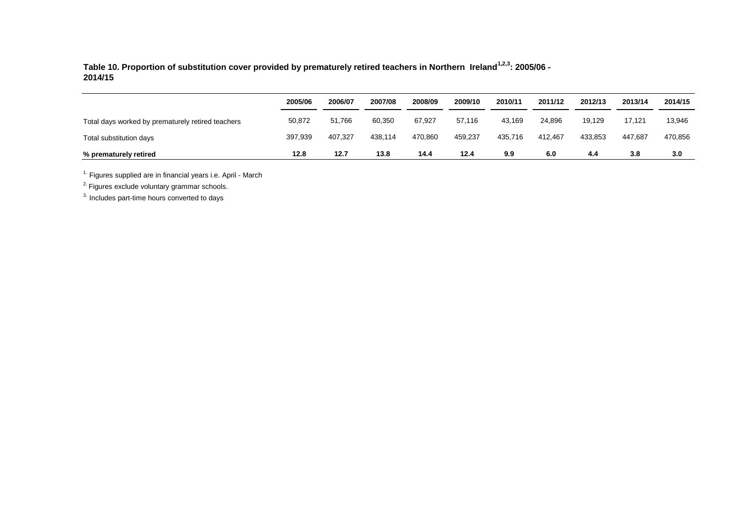**Table 10. Proportion of substitution cover provided by prematurely retired teachers in Northern Ireland1,2,3: 2005/06 - 2014/15**

|                                                   | 2005/06 | 2006/07 | 2007/08 | 2008/09 | 2009/10 | 2010/11 | 2011/12 | 2012/13 | 2013/14 | 2014/15 |
|---------------------------------------------------|---------|---------|---------|---------|---------|---------|---------|---------|---------|---------|
| Total days worked by prematurely retired teachers | 50,872  | 51.766  | 60,350  | 67,927  | 57.116  | 43.169  | 24,896  | 19.129  | 17,121  | 13,946  |
| Total substitution days                           | 397.939 | 407.327 | 438.114 | 470.860 | 459.237 | 435.716 | 412.467 | 433.853 | 447.687 | 470,856 |
| % prematurely retired                             | 12.8    | 12.7    | 13.8    | 14.4    | 12.4    | 9.9     | 6.0     | 4.4     | 3.8     | 3.0     |

 $1.$  Figures supplied are in financial years i.e. April - March

<sup>2.</sup> Figures exclude voluntary grammar schools.

<sup>3.</sup> Includes part-time hours converted to days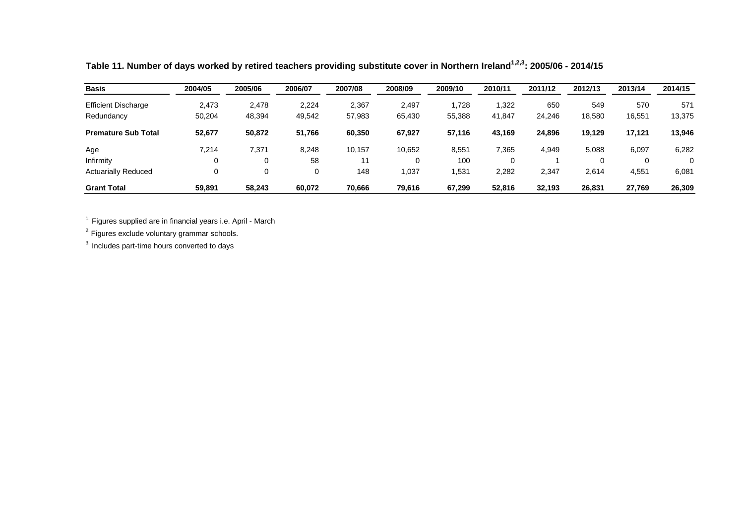| <b>Basis</b>               | 2004/05 | 2005/06 | 2006/07 | 2007/08 | 2008/09 | 2009/10 | 2010/11 | 2011/12 | 2012/13 | 2013/14 | 2014/15  |
|----------------------------|---------|---------|---------|---------|---------|---------|---------|---------|---------|---------|----------|
| <b>Efficient Discharge</b> | 2,473   | 2,478   | 2,224   | 2,367   | 2.497   | 1,728   | 1,322   | 650     | 549     | 570     | 571      |
| Redundancy                 | 50,204  | 48,394  | 49,542  | 57,983  | 65,430  | 55,388  | 41,847  | 24,246  | 18,580  | 16,551  | 13,375   |
| <b>Premature Sub Total</b> | 52,677  | 50.872  | 51,766  | 60,350  | 67.927  | 57,116  | 43,169  | 24.896  | 19.129  | 17.121  | 13,946   |
| Age                        | 7,214   | 7,371   | 8,248   | 10,157  | 10.652  | 8,551   | 7,365   | 4.949   | 5,088   | 6,097   | 6,282    |
| Infirmity                  | 0       | 0       | 58      | 11      |         | 100     | 0       |         |         |         | $\Omega$ |
| <b>Actuarially Reduced</b> | 0       | 0       | 0       | 148     | 1.037   | 531.    | 2,282   | 2,347   | 2.614   | 4,551   | 6,081    |
| <b>Grant Total</b>         | 59,891  | 58.243  | 60.072  | 70.666  | 79.616  | 67.299  | 52.816  | 32.193  | 26.831  | 27.769  | 26,309   |

**Table 11. Number of days worked by retired teachers providing substitute cover in Northern Ireland1,2,3: 2005/06 - 2014/15**

 $2$ . Figures exclude voluntary grammar schools.

 $3.$  Includes part-time hours converted to days